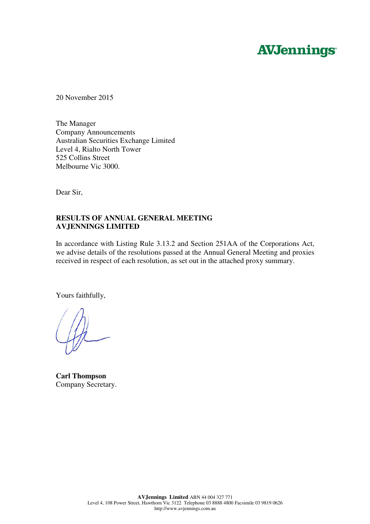# **AVJennings**

20 November 2015

The Manager Company Announcements Australian Securities Exchange Limited Level 4, Rialto North Tower 525 Collins Street Melbourne Vic 3000.

Dear Sir,

# **RESULTS OF ANNUAL GENERAL MEETING AVJENNINGS LIMITED**

In accordance with Listing Rule 3.13.2 and Section 251AA of the Corporations Act, we advise details of the resolutions passed at the Annual General Meeting and proxies received in respect of each resolution, as set out in the attached proxy summary.

Yours faithfully,

**Carl Thompson**  Company Secretary.